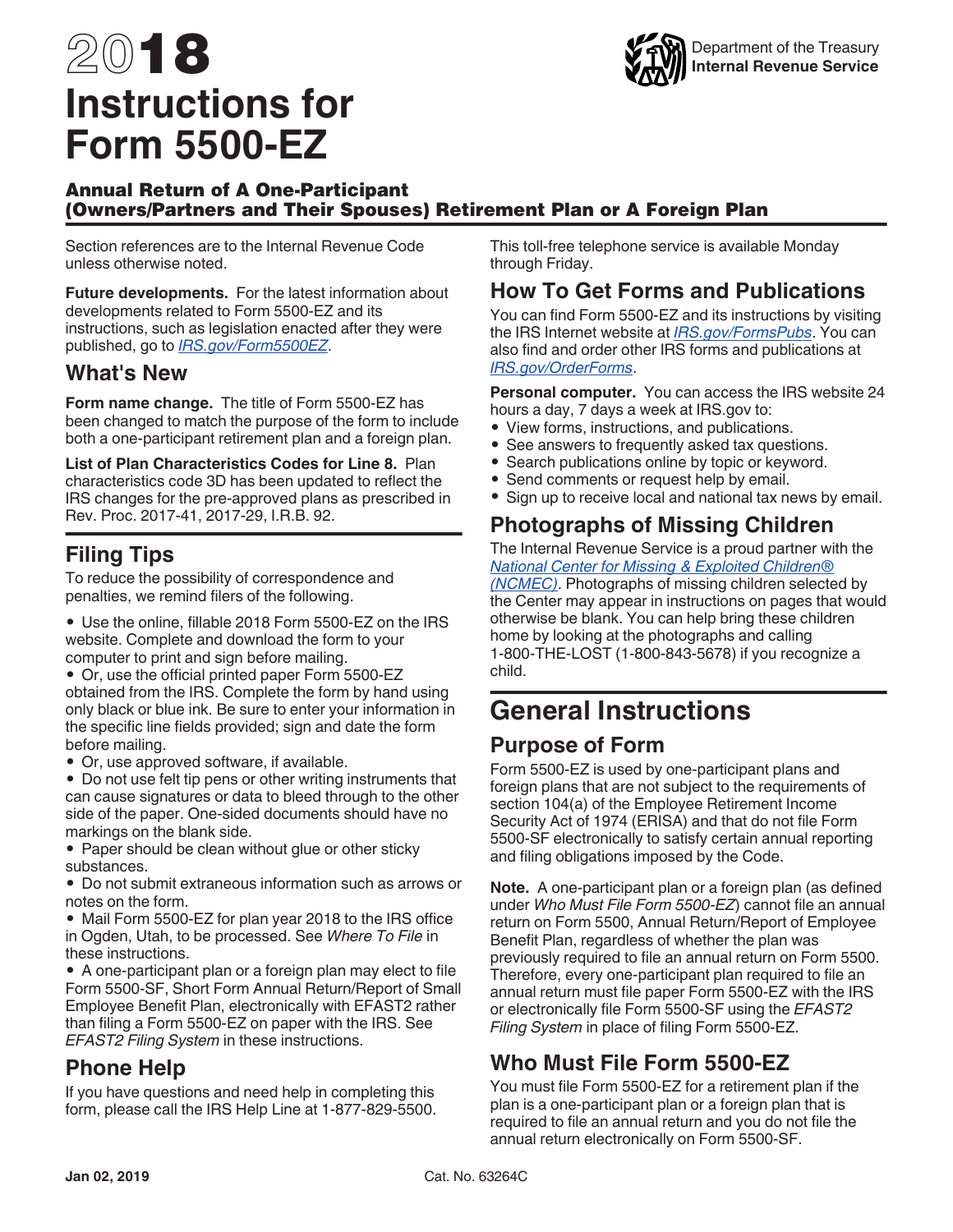# 2018 **Instructions for Form 5500-EZ**



#### Annual Return of A One-Participant (Owners/Partners and Their Spouses) Retirement Plan or A Foreign Plan

Section references are to the Internal Revenue Code unless otherwise noted.

**Future developments.** For the latest information about developments related to Form 5500-EZ and its instructions, such as legislation enacted after they were published, go to *[IRS.gov/Form5500EZ](https://www.irs.gov/form5500ez)*.

#### **What's New**

**Form name change.** The title of Form 5500-EZ has been changed to match the purpose of the form to include both a one-participant retirement plan and a foreign plan.

**List of Plan Characteristics Codes for Line 8.** Plan characteristics code 3D has been updated to reflect the IRS changes for the pre-approved plans as prescribed in Rev. Proc. 2017-41, 2017-29, I.R.B. 92.

## **Filing Tips**

To reduce the possibility of correspondence and penalties, we remind filers of the following.

• Use the online, fillable 2018 Form 5500-EZ on the IRS website. Complete and download the form to your computer to print and sign before mailing.

• Or, use the official printed paper Form 5500-EZ obtained from the IRS. Complete the form by hand using only black or blue ink. Be sure to enter your information in the specific line fields provided; sign and date the form before mailing.

• Or, use approved software, if available.

• Do not use felt tip pens or other writing instruments that can cause signatures or data to bleed through to the other side of the paper. One-sided documents should have no markings on the blank side.

• Paper should be clean without glue or other sticky substances.

• Do not submit extraneous information such as arrows or notes on the form.

• Mail Form 5500-EZ for plan year 2018 to the IRS office in Ogden, Utah, to be processed. See *Where To File* in these instructions.

• A one-participant plan or a foreign plan may elect to file Form 5500-SF, Short Form Annual Return/Report of Small Employee Benefit Plan, electronically with EFAST2 rather than filing a Form 5500-EZ on paper with the IRS. See *EFAST2 Filing System* in these instructions.

## **Phone Help**

If you have questions and need help in completing this form, please call the IRS Help Line at 1-877-829-5500. This toll-free telephone service is available Monday through Friday.

#### **How To Get Forms and Publications**

You can find Form 5500-EZ and its instructions by visiting the IRS Internet website at *[IRS.gov/FormsPubs](https://www.irs.gov/formspubs)*. You can also find and order other IRS forms and publications at *[IRS.gov/OrderForms](https://www.irs.gov/orderforms)*.

**Personal computer.** You can access the IRS website 24 hours a day, 7 days a week at IRS.gov to:

- View forms, instructions, and publications.
- See answers to frequently asked tax questions.
- Search publications online by topic or keyword.
- Send comments or request help by email.
- Sign up to receive local and national tax news by email.

## **Photographs of Missing Children**

The Internal Revenue Service is a proud partner with the *[National Center for Missing & Exploited Children®](https://www.missingkids.com/home) [\(NCMEC\)](https://www.missingkids.com/home)*. Photographs of missing children selected by the Center may appear in instructions on pages that would otherwise be blank. You can help bring these children home by looking at the photographs and calling 1-800-THE-LOST (1-800-843-5678) if you recognize a child.

## **General Instructions**

#### **Purpose of Form**

Form 5500-EZ is used by one-participant plans and foreign plans that are not subject to the requirements of section 104(a) of the Employee Retirement Income Security Act of 1974 (ERISA) and that do not file Form 5500-SF electronically to satisfy certain annual reporting and filing obligations imposed by the Code.

**Note.** A one-participant plan or a foreign plan (as defined under *Who Must File Form 5500-EZ*) cannot file an annual return on Form 5500, Annual Return/Report of Employee Benefit Plan, regardless of whether the plan was previously required to file an annual return on Form 5500. Therefore, every one-participant plan required to file an annual return must file paper Form 5500-EZ with the IRS or electronically file Form 5500-SF using the *EFAST2 Filing System* in place of filing Form 5500-EZ.

## **Who Must File Form 5500-EZ**

You must file Form 5500-EZ for a retirement plan if the plan is a one-participant plan or a foreign plan that is required to file an annual return and you do not file the annual return electronically on Form 5500-SF.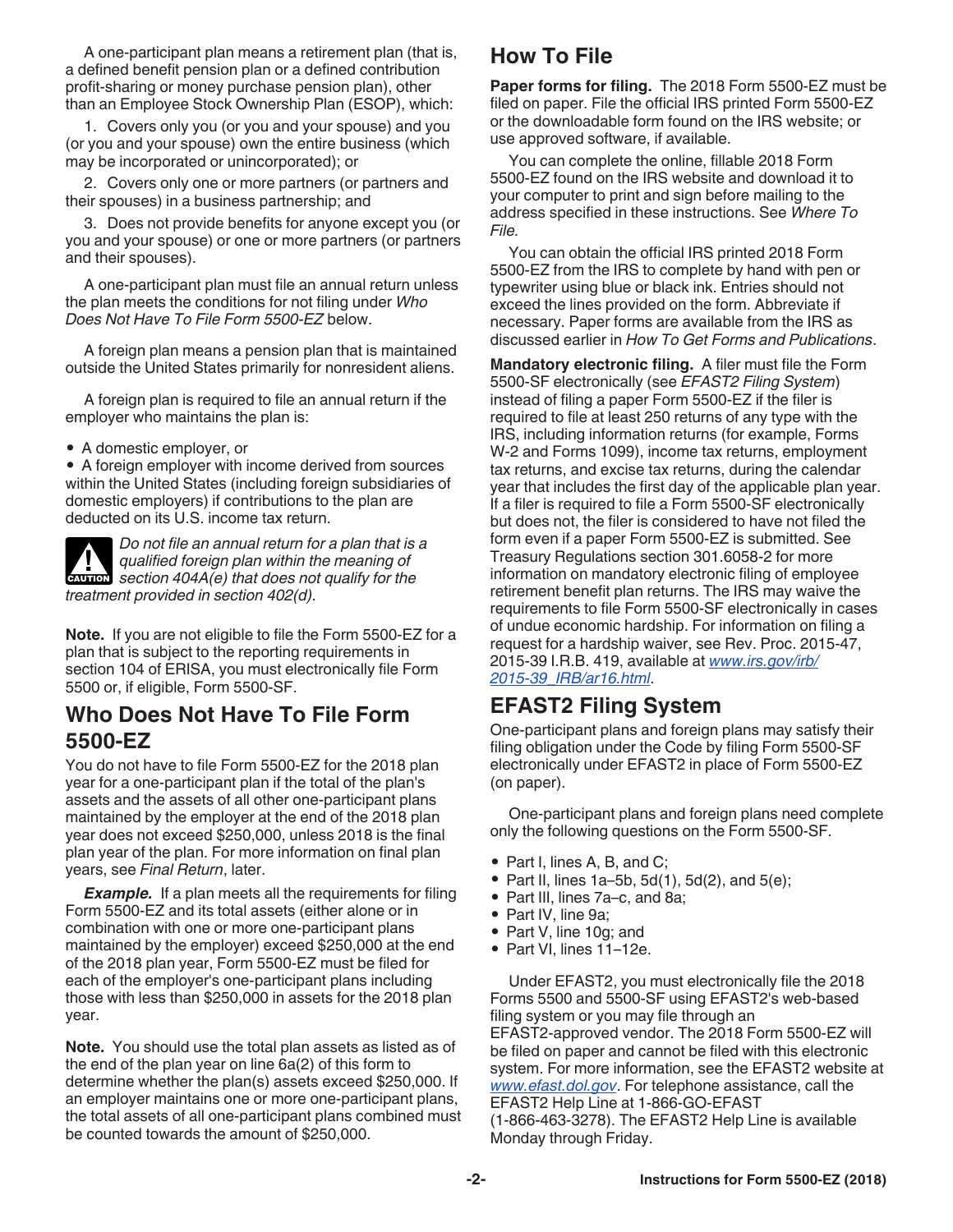A one-participant plan means a retirement plan (that is, a defined benefit pension plan or a defined contribution profit-sharing or money purchase pension plan), other than an Employee Stock Ownership Plan (ESOP), which:

1. Covers only you (or you and your spouse) and you (or you and your spouse) own the entire business (which may be incorporated or unincorporated); or

2. Covers only one or more partners (or partners and their spouses) in a business partnership; and

3. Does not provide benefits for anyone except you (or you and your spouse) or one or more partners (or partners and their spouses).

A one-participant plan must file an annual return unless the plan meets the conditions for not filing under *Who Does Not Have To File Form 5500-EZ* below.

A foreign plan means a pension plan that is maintained outside the United States primarily for nonresident aliens.

A foreign plan is required to file an annual return if the employer who maintains the plan is:

• A domestic employer, or

• A foreign employer with income derived from sources within the United States (including foreign subsidiaries of domestic employers) if contributions to the plan are deducted on its U.S. income tax return.

*Do not file an annual return for a plan that is a qualified foreign plan within the meaning of*  **discript 404A(e)** that does not qualify for the *treatment provided in section 402(d).*

**Note.** If you are not eligible to file the Form 5500-EZ for a plan that is subject to the reporting requirements in section 104 of ERISA, you must electronically file Form 5500 or, if eligible, Form 5500-SF.

#### **Who Does Not Have To File Form 5500-EZ**

You do not have to file Form 5500-EZ for the 2018 plan year for a one-participant plan if the total of the plan's assets and the assets of all other one-participant plans maintained by the employer at the end of the 2018 plan year does not exceed \$250,000, unless 2018 is the final plan year of the plan. For more information on final plan years, see *Final Return*, later.

**Example.** If a plan meets all the requirements for filing Form 5500-EZ and its total assets (either alone or in combination with one or more one-participant plans maintained by the employer) exceed \$250,000 at the end of the 2018 plan year, Form 5500-EZ must be filed for each of the employer's one-participant plans including those with less than \$250,000 in assets for the 2018 plan year.

**Note.** You should use the total plan assets as listed as of the end of the plan year on line 6a(2) of this form to determine whether the plan(s) assets exceed \$250,000. If an employer maintains one or more one-participant plans, the total assets of all one-participant plans combined must be counted towards the amount of \$250,000.

## **How To File**

**Paper forms for filing.** The 2018 Form 5500-EZ must be filed on paper. File the official IRS printed Form 5500-EZ or the downloadable form found on the IRS website; or use approved software, if available.

You can complete the online, fillable 2018 Form 5500-EZ found on the IRS website and download it to your computer to print and sign before mailing to the address specified in these instructions. See *Where To File.*

You can obtain the official IRS printed 2018 Form 5500-EZ from the IRS to complete by hand with pen or typewriter using blue or black ink. Entries should not exceed the lines provided on the form. Abbreviate if necessary. Paper forms are available from the IRS as discussed earlier in *How To Get Forms and Publications*.

**Mandatory electronic filing.** A filer must file the Form 5500-SF electronically (see *EFAST2 Filing System*) instead of filing a paper Form 5500-EZ if the filer is required to file at least 250 returns of any type with the IRS, including information returns (for example, Forms W-2 and Forms 1099), income tax returns, employment tax returns, and excise tax returns, during the calendar year that includes the first day of the applicable plan year. If a filer is required to file a Form 5500-SF electronically but does not, the filer is considered to have not filed the form even if a paper Form 5500-EZ is submitted. See Treasury Regulations section 301.6058-2 for more information on mandatory electronic filing of employee retirement benefit plan returns. The IRS may waive the requirements to file Form 5500-SF electronically in cases of undue economic hardship. For information on filing a request for a hardship waiver, see Rev. Proc. 2015-47, 2015-39 I.R.B. 419, available at *[www.irs.gov/irb/](https://www.irs.gov/irb/2015-39_IRB/ar16.html) [2015-39\\_IRB/ar16.html](https://www.irs.gov/irb/2015-39_IRB/ar16.html)*.

#### **EFAST2 Filing System**

One-participant plans and foreign plans may satisfy their filing obligation under the Code by filing Form 5500-SF electronically under EFAST2 in place of Form 5500-EZ (on paper).

One-participant plans and foreign plans need complete only the following questions on the Form 5500-SF.

- Part I, lines A, B, and C;
- Part II, lines  $1a-5b$ ,  $5d(1)$ ,  $5d(2)$ , and  $5(e)$ ;
- Part III, lines 7a–c, and 8a;
- Part IV, line 9a;
- Part V, line 10g; and
- Part VI, lines 11–12e.

Under EFAST2, you must electronically file the 2018 Forms 5500 and 5500-SF using EFAST2's web-based filing system or you may file through an EFAST2-approved vendor. The 2018 Form 5500-EZ will be filed on paper and cannot be filed with this electronic system. For more information, see the EFAST2 website at *[www.efast.dol.gov](http://www.efast.dol.gov/)*. For telephone assistance, call the EFAST2 Help Line at 1-866-GO-EFAST (1-866-463-3278). The EFAST2 Help Line is available Monday through Friday.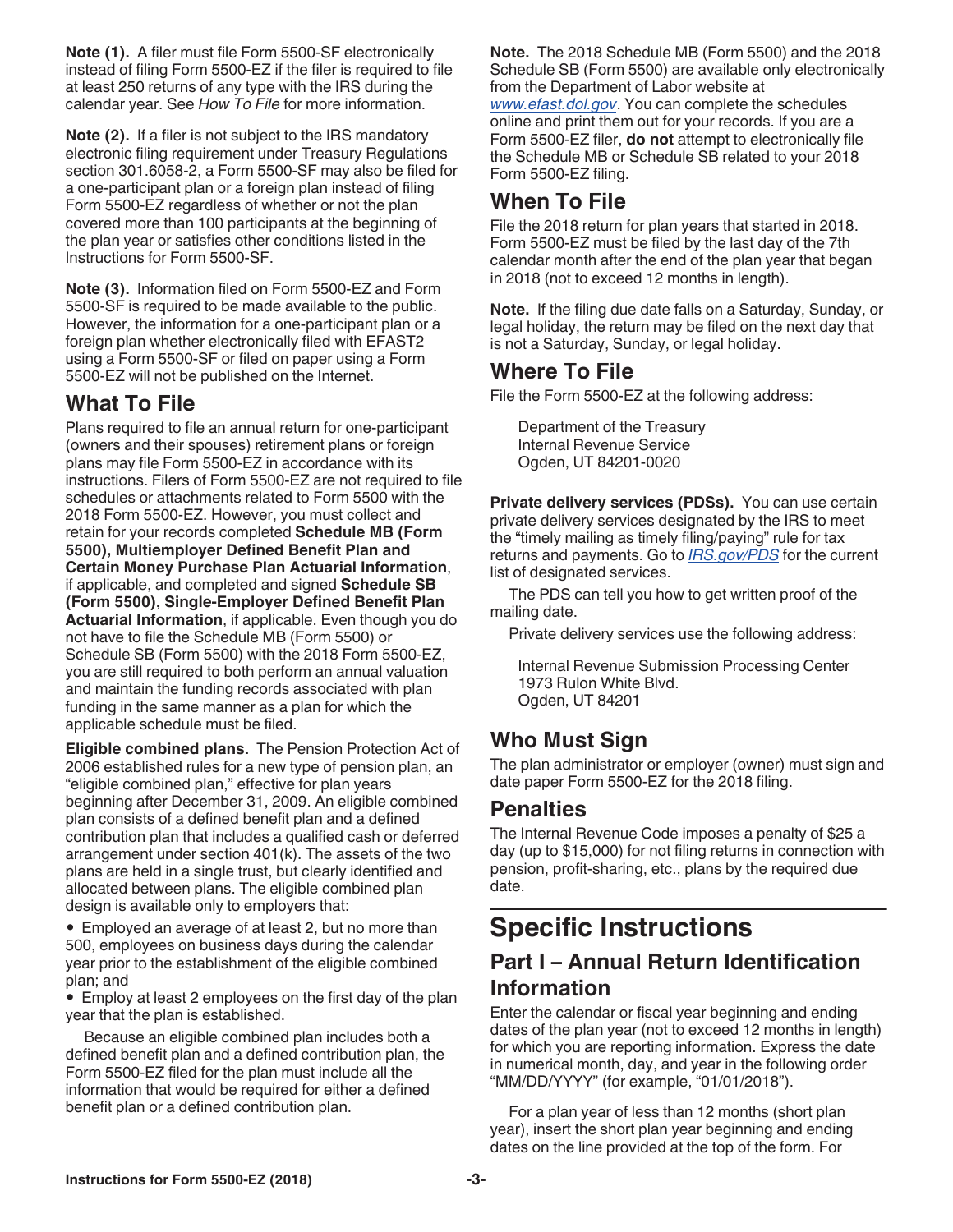**Note (1).** A filer must file Form 5500-SF electronically instead of filing Form 5500-EZ if the filer is required to file at least 250 returns of any type with the IRS during the calendar year. See *How To File* for more information.

**Note (2).** If a filer is not subject to the IRS mandatory electronic filing requirement under Treasury Regulations section 301.6058-2, a Form 5500-SF may also be filed for a one-participant plan or a foreign plan instead of filing Form 5500-EZ regardless of whether or not the plan covered more than 100 participants at the beginning of the plan year or satisfies other conditions listed in the Instructions for Form 5500-SF.

**Note (3).** Information filed on Form 5500-EZ and Form 5500-SF is required to be made available to the public. However, the information for a one-participant plan or a foreign plan whether electronically filed with EFAST2 using a Form 5500-SF or filed on paper using a Form 5500-EZ will not be published on the Internet.

## **What To File**

Plans required to file an annual return for one-participant (owners and their spouses) retirement plans or foreign plans may file Form 5500-EZ in accordance with its instructions. Filers of Form 5500-EZ are not required to file schedules or attachments related to Form 5500 with the 2018 Form 5500-EZ. However, you must collect and retain for your records completed **Schedule MB (Form 5500), Multiemployer Defined Benefit Plan and Certain Money Purchase Plan Actuarial Information**, if applicable, and completed and signed **Schedule SB (Form 5500), Single-Employer Defined Benefit Plan Actuarial Information**, if applicable. Even though you do not have to file the Schedule MB (Form 5500) or Schedule SB (Form 5500) with the 2018 Form 5500-EZ, you are still required to both perform an annual valuation and maintain the funding records associated with plan funding in the same manner as a plan for which the applicable schedule must be filed.

**Eligible combined plans.** The Pension Protection Act of 2006 established rules for a new type of pension plan, an "eligible combined plan," effective for plan years beginning after December 31, 2009. An eligible combined plan consists of a defined benefit plan and a defined contribution plan that includes a qualified cash or deferred arrangement under section 401(k). The assets of the two plans are held in a single trust, but clearly identified and allocated between plans. The eligible combined plan design is available only to employers that:

• Employed an average of at least 2, but no more than 500, employees on business days during the calendar year prior to the establishment of the eligible combined plan; and

• Employ at least 2 employees on the first day of the plan year that the plan is established.

Because an eligible combined plan includes both a defined benefit plan and a defined contribution plan, the Form 5500-EZ filed for the plan must include all the information that would be required for either a defined benefit plan or a defined contribution plan.

**Note.** The 2018 Schedule MB (Form 5500) and the 2018 Schedule SB (Form 5500) are available only electronically from the Department of Labor website at *[www.efast.dol.gov](http://www.efast.dol.gov)*. You can complete the schedules online and print them out for your records. If you are a Form 5500-EZ filer, **do not** attempt to electronically file the Schedule MB or Schedule SB related to your 2018 Form 5500-EZ filing.

#### **When To File**

File the 2018 return for plan years that started in 2018. Form 5500-EZ must be filed by the last day of the 7th calendar month after the end of the plan year that began in 2018 (not to exceed 12 months in length).

**Note.** If the filing due date falls on a Saturday, Sunday, or legal holiday, the return may be filed on the next day that is not a Saturday, Sunday, or legal holiday.

#### **Where To File**

File the Form 5500-EZ at the following address:

Department of the Treasury Internal Revenue Service Ogden, UT 84201-0020

**Private delivery services (PDSs).** You can use certain private delivery services designated by the IRS to meet the "timely mailing as timely filing/paying" rule for tax returns and payments. Go to *[IRS.gov/PDS](https://www.irs.gov/pds)* for the current list of designated services.

The PDS can tell you how to get written proof of the mailing date.

Private delivery services use the following address:

Internal Revenue Submission Processing Center 1973 Rulon White Blvd. Ogden, UT 84201

## **Who Must Sign**

The plan administrator or employer (owner) must sign and date paper Form 5500-EZ for the 2018 filing.

#### **Penalties**

The Internal Revenue Code imposes a penalty of \$25 a day (up to \$15,000) for not filing returns in connection with pension, profit-sharing, etc., plans by the required due date.

## **Specific Instructions**

## **Part I – Annual Return Identification Information**

Enter the calendar or fiscal year beginning and ending dates of the plan year (not to exceed 12 months in length) for which you are reporting information. Express the date in numerical month, day, and year in the following order "MM/DD/YYYY" (for example, "01/01/2018").

For a plan year of less than 12 months (short plan year), insert the short plan year beginning and ending dates on the line provided at the top of the form. For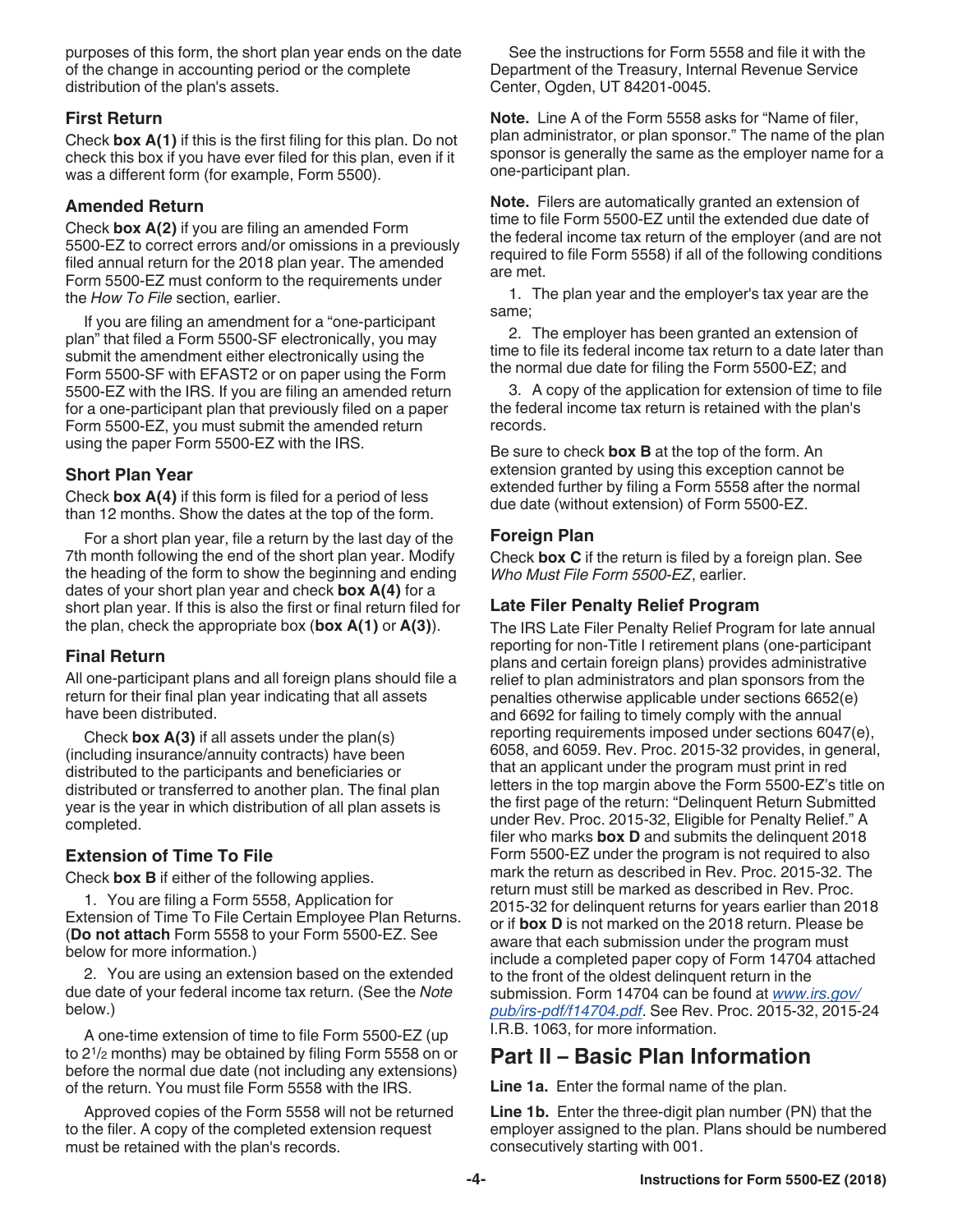purposes of this form, the short plan year ends on the date of the change in accounting period or the complete distribution of the plan's assets.

#### **First Return**

Check **box A(1)** if this is the first filing for this plan. Do not check this box if you have ever filed for this plan, even if it was a different form (for example, Form 5500).

#### **Amended Return**

Check **box A(2)** if you are filing an amended Form 5500-EZ to correct errors and/or omissions in a previously filed annual return for the 2018 plan year. The amended Form 5500-EZ must conform to the requirements under the *How To File* section, earlier.

If you are filing an amendment for a "one-participant plan" that filed a Form 5500-SF electronically, you may submit the amendment either electronically using the Form 5500-SF with EFAST2 or on paper using the Form 5500-EZ with the IRS. If you are filing an amended return for a one-participant plan that previously filed on a paper Form 5500-EZ, you must submit the amended return using the paper Form 5500-EZ with the IRS.

#### **Short Plan Year**

Check **box A(4)** if this form is filed for a period of less than 12 months. Show the dates at the top of the form.

For a short plan year, file a return by the last day of the 7th month following the end of the short plan year. Modify the heading of the form to show the beginning and ending dates of your short plan year and check **box A(4)** for a short plan year. If this is also the first or final return filed for the plan, check the appropriate box (**box A(1)** or **A(3)**).

#### **Final Return**

All one-participant plans and all foreign plans should file a return for their final plan year indicating that all assets have been distributed.

Check **box A(3)** if all assets under the plan(s) (including insurance/annuity contracts) have been distributed to the participants and beneficiaries or distributed or transferred to another plan. The final plan year is the year in which distribution of all plan assets is completed.

#### **Extension of Time To File**

Check **box B** if either of the following applies.

1. You are filing a Form 5558, Application for Extension of Time To File Certain Employee Plan Returns. (**Do not attach** Form 5558 to your Form 5500-EZ. See below for more information.)

2. You are using an extension based on the extended due date of your federal income tax return. (See the *Note*  below.)

A one-time extension of time to file Form 5500-EZ (up to 21/2 months) may be obtained by filing Form 5558 on or before the normal due date (not including any extensions) of the return. You must file Form 5558 with the IRS.

Approved copies of the Form 5558 will not be returned to the filer. A copy of the completed extension request must be retained with the plan's records.

See the instructions for Form 5558 and file it with the Department of the Treasury, Internal Revenue Service Center, Ogden, UT 84201-0045.

**Note.** Line A of the Form 5558 asks for "Name of filer, plan administrator, or plan sponsor." The name of the plan sponsor is generally the same as the employer name for a one-participant plan.

**Note.** Filers are automatically granted an extension of time to file Form 5500-EZ until the extended due date of the federal income tax return of the employer (and are not required to file Form 5558) if all of the following conditions are met.

1. The plan year and the employer's tax year are the same;

2. The employer has been granted an extension of time to file its federal income tax return to a date later than the normal due date for filing the Form 5500-EZ; and

3. A copy of the application for extension of time to file the federal income tax return is retained with the plan's records.

Be sure to check **box B** at the top of the form. An extension granted by using this exception cannot be extended further by filing a Form 5558 after the normal due date (without extension) of Form 5500-EZ.

#### **Foreign Plan**

Check **box C** if the return is filed by a foreign plan. See *Who Must File Form 5500-EZ*, earlier.

#### **Late Filer Penalty Relief Program**

The IRS Late Filer Penalty Relief Program for late annual reporting for non-Title I retirement plans (one-participant plans and certain foreign plans) provides administrative relief to plan administrators and plan sponsors from the penalties otherwise applicable under sections 6652(e) and 6692 for failing to timely comply with the annual reporting requirements imposed under sections 6047(e), 6058, and 6059. Rev. Proc. 2015-32 provides, in general, that an applicant under the program must print in red letters in the top margin above the Form 5500-EZ's title on the first page of the return: "Delinquent Return Submitted under Rev. Proc. 2015-32, Eligible for Penalty Relief." A filer who marks **box D** and submits the delinquent 2018 Form 5500-EZ under the program is not required to also mark the return as described in Rev. Proc. 2015-32. The return must still be marked as described in Rev. Proc. 2015-32 for delinquent returns for years earlier than 2018 or if **box D** is not marked on the 2018 return. Please be aware that each submission under the program must include a completed paper copy of Form 14704 attached to the front of the oldest delinquent return in the submission. Form 14704 can be found at *[www.irs.gov/](https://www.irs.gov/pub/irs-pdf/f14704.pdf) [pub/irs-pdf/f14704.pdf](https://www.irs.gov/pub/irs-pdf/f14704.pdf)*. See Rev. Proc. 2015-32, 2015-24 I.R.B. 1063, for more information.

#### **Part II – Basic Plan Information**

**Line 1a.** Enter the formal name of the plan.

**Line 1b.** Enter the three-digit plan number (PN) that the employer assigned to the plan. Plans should be numbered consecutively starting with 001.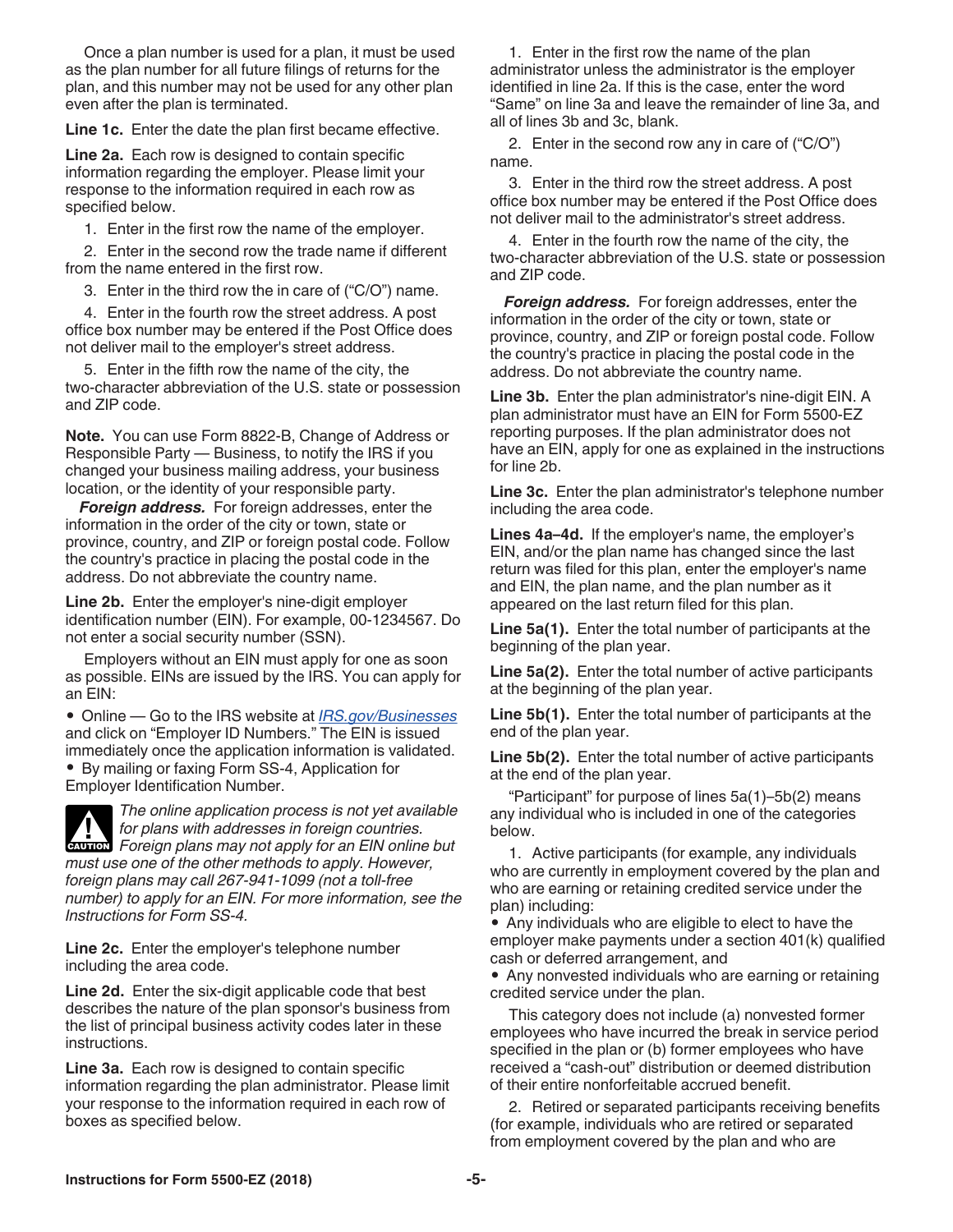Once a plan number is used for a plan, it must be used as the plan number for all future filings of returns for the plan, and this number may not be used for any other plan even after the plan is terminated.

**Line 1c.** Enter the date the plan first became effective.

**Line 2a.** Each row is designed to contain specific information regarding the employer. Please limit your response to the information required in each row as specified below.

1. Enter in the first row the name of the employer.

2. Enter in the second row the trade name if different from the name entered in the first row.

3. Enter in the third row the in care of ("C/O") name.

4. Enter in the fourth row the street address. A post office box number may be entered if the Post Office does not deliver mail to the employer's street address.

5. Enter in the fifth row the name of the city, the two-character abbreviation of the U.S. state or possession and ZIP code.

**Note.** You can use Form 8822-B, Change of Address or Responsible Party — Business, to notify the IRS if you changed your business mailing address, your business location, or the identity of your responsible party.

*Foreign address.* For foreign addresses, enter the information in the order of the city or town, state or province, country, and ZIP or foreign postal code. Follow the country's practice in placing the postal code in the address. Do not abbreviate the country name.

**Line 2b.** Enter the employer's nine-digit employer identification number (EIN). For example, 00-1234567. Do not enter a social security number (SSN).

Employers without an EIN must apply for one as soon as possible. EINs are issued by the IRS. You can apply for an EIN:

• Online — Go to the IRS website at *[IRS.gov/Businesses](https://www.irs.gov/businesses)*  and click on "Employer ID Numbers." The EIN is issued immediately once the application information is validated.

• By mailing or faxing Form SS-4, Application for Employer Identification Number.



*The online application process is not yet available for plans with addresses in foreign countries.*  **Formally for plans with addresses in foreign countries.<br>
<b>EXULION** Foreign plans may not apply for an EIN online but *must use one of the other methods to apply. However, foreign plans may call 267-941-1099 (not a toll-free number) to apply for an EIN. For more information, see the Instructions for Form SS-4.*

**Line 2c.** Enter the employer's telephone number including the area code.

**Line 2d.** Enter the six-digit applicable code that best describes the nature of the plan sponsor's business from the list of principal business activity codes later in these instructions.

**Line 3a.** Each row is designed to contain specific information regarding the plan administrator. Please limit your response to the information required in each row of boxes as specified below.

1. Enter in the first row the name of the plan administrator unless the administrator is the employer identified in line 2a. If this is the case, enter the word "Same" on line 3a and leave the remainder of line 3a, and all of lines 3b and 3c, blank.

2. Enter in the second row any in care of ("C/O") name.

3. Enter in the third row the street address. A post office box number may be entered if the Post Office does not deliver mail to the administrator's street address.

4. Enter in the fourth row the name of the city, the two-character abbreviation of the U.S. state or possession and ZIP code.

*Foreign address.* For foreign addresses, enter the information in the order of the city or town, state or province, country, and ZIP or foreign postal code. Follow the country's practice in placing the postal code in the address. Do not abbreviate the country name.

**Line 3b.** Enter the plan administrator's nine-digit EIN. A plan administrator must have an EIN for Form 5500-EZ reporting purposes. If the plan administrator does not have an EIN, apply for one as explained in the instructions for line 2b.

**Line 3c.** Enter the plan administrator's telephone number including the area code.

**Lines 4a–4d.** If the employer's name, the employer's EIN, and/or the plan name has changed since the last return was filed for this plan, enter the employer's name and EIN, the plan name, and the plan number as it appeared on the last return filed for this plan.

**Line 5a(1).** Enter the total number of participants at the beginning of the plan year.

**Line 5a(2).** Enter the total number of active participants at the beginning of the plan year.

**Line 5b(1).** Enter the total number of participants at the end of the plan year.

**Line 5b(2).** Enter the total number of active participants at the end of the plan year.

"Participant" for purpose of lines 5a(1)–5b(2) means any individual who is included in one of the categories below.

1. Active participants (for example, any individuals who are currently in employment covered by the plan and who are earning or retaining credited service under the plan) including:

• Any individuals who are eligible to elect to have the employer make payments under a section 401(k) qualified cash or deferred arrangement, and

• Any nonvested individuals who are earning or retaining credited service under the plan.

This category does not include (a) nonvested former employees who have incurred the break in service period specified in the plan or (b) former employees who have received a "cash-out" distribution or deemed distribution of their entire nonforfeitable accrued benefit.

2. Retired or separated participants receiving benefits (for example, individuals who are retired or separated from employment covered by the plan and who are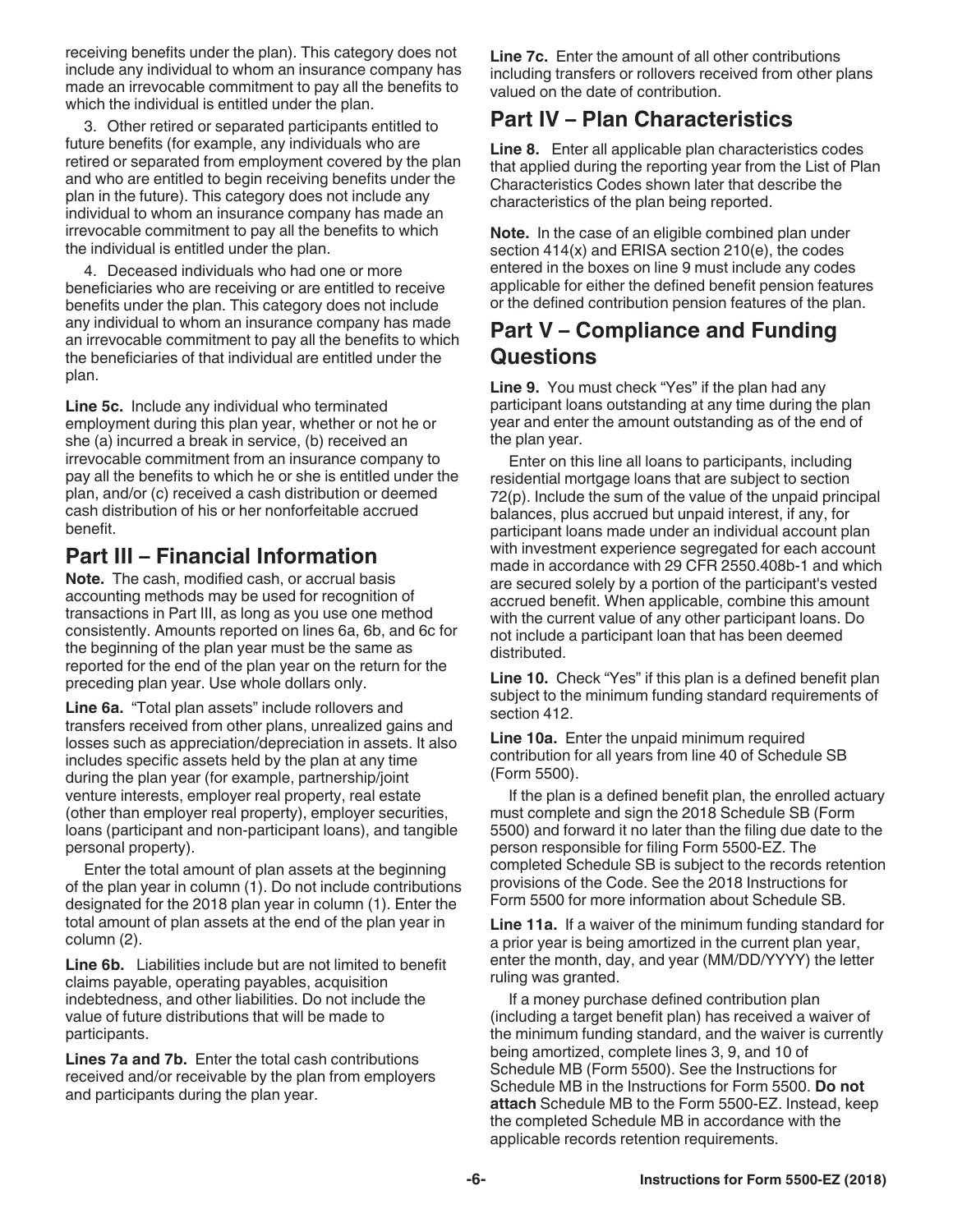receiving benefits under the plan). This category does not include any individual to whom an insurance company has made an irrevocable commitment to pay all the benefits to which the individual is entitled under the plan.

3. Other retired or separated participants entitled to future benefits (for example, any individuals who are retired or separated from employment covered by the plan and who are entitled to begin receiving benefits under the plan in the future). This category does not include any individual to whom an insurance company has made an irrevocable commitment to pay all the benefits to which the individual is entitled under the plan.

4. Deceased individuals who had one or more beneficiaries who are receiving or are entitled to receive benefits under the plan. This category does not include any individual to whom an insurance company has made an irrevocable commitment to pay all the benefits to which the beneficiaries of that individual are entitled under the plan.

**Line 5c.** Include any individual who terminated employment during this plan year, whether or not he or she (a) incurred a break in service, (b) received an irrevocable commitment from an insurance company to pay all the benefits to which he or she is entitled under the plan, and/or (c) received a cash distribution or deemed cash distribution of his or her nonforfeitable accrued benefit.

## **Part III – Financial Information**

**Note.** The cash, modified cash, or accrual basis accounting methods may be used for recognition of transactions in Part III, as long as you use one method consistently. Amounts reported on lines 6a, 6b, and 6c for the beginning of the plan year must be the same as reported for the end of the plan year on the return for the preceding plan year. Use whole dollars only.

**Line 6a.** "Total plan assets" include rollovers and transfers received from other plans, unrealized gains and losses such as appreciation/depreciation in assets. It also includes specific assets held by the plan at any time during the plan year (for example, partnership/joint venture interests, employer real property, real estate (other than employer real property), employer securities, loans (participant and non-participant loans), and tangible personal property).

Enter the total amount of plan assets at the beginning of the plan year in column (1). Do not include contributions designated for the 2018 plan year in column (1). Enter the total amount of plan assets at the end of the plan year in column (2).

**Line 6b.** Liabilities include but are not limited to benefit claims payable, operating payables, acquisition indebtedness, and other liabilities. Do not include the value of future distributions that will be made to participants.

**Lines 7a and 7b.** Enter the total cash contributions received and/or receivable by the plan from employers and participants during the plan year.

**Line 7c.** Enter the amount of all other contributions including transfers or rollovers received from other plans valued on the date of contribution.

## **Part IV – Plan Characteristics**

**Line 8.** Enter all applicable plan characteristics codes that applied during the reporting year from the List of Plan Characteristics Codes shown later that describe the characteristics of the plan being reported.

**Note.** In the case of an eligible combined plan under section 414(x) and ERISA section 210(e), the codes entered in the boxes on line 9 must include any codes applicable for either the defined benefit pension features or the defined contribution pension features of the plan.

### **Part V – Compliance and Funding Questions**

**Line 9.** You must check "Yes" if the plan had any participant loans outstanding at any time during the plan year and enter the amount outstanding as of the end of the plan year.

Enter on this line all loans to participants, including residential mortgage loans that are subject to section 72(p). Include the sum of the value of the unpaid principal balances, plus accrued but unpaid interest, if any, for participant loans made under an individual account plan with investment experience segregated for each account made in accordance with 29 CFR 2550.408b-1 and which are secured solely by a portion of the participant's vested accrued benefit. When applicable, combine this amount with the current value of any other participant loans. Do not include a participant loan that has been deemed distributed.

**Line 10.** Check "Yes" if this plan is a defined benefit plan subject to the minimum funding standard requirements of section 412.

**Line 10a.** Enter the unpaid minimum required contribution for all years from line 40 of Schedule SB (Form 5500).

If the plan is a defined benefit plan, the enrolled actuary must complete and sign the 2018 Schedule SB (Form 5500) and forward it no later than the filing due date to the person responsible for filing Form 5500-EZ. The completed Schedule SB is subject to the records retention provisions of the Code. See the 2018 Instructions for Form 5500 for more information about Schedule SB.

**Line 11a.** If a waiver of the minimum funding standard for a prior year is being amortized in the current plan year, enter the month, day, and year (MM/DD/YYYY) the letter ruling was granted.

If a money purchase defined contribution plan (including a target benefit plan) has received a waiver of the minimum funding standard, and the waiver is currently being amortized, complete lines 3, 9, and 10 of Schedule MB (Form 5500). See the Instructions for Schedule MB in the Instructions for Form 5500. **Do not attach** Schedule MB to the Form 5500-EZ. Instead, keep the completed Schedule MB in accordance with the applicable records retention requirements.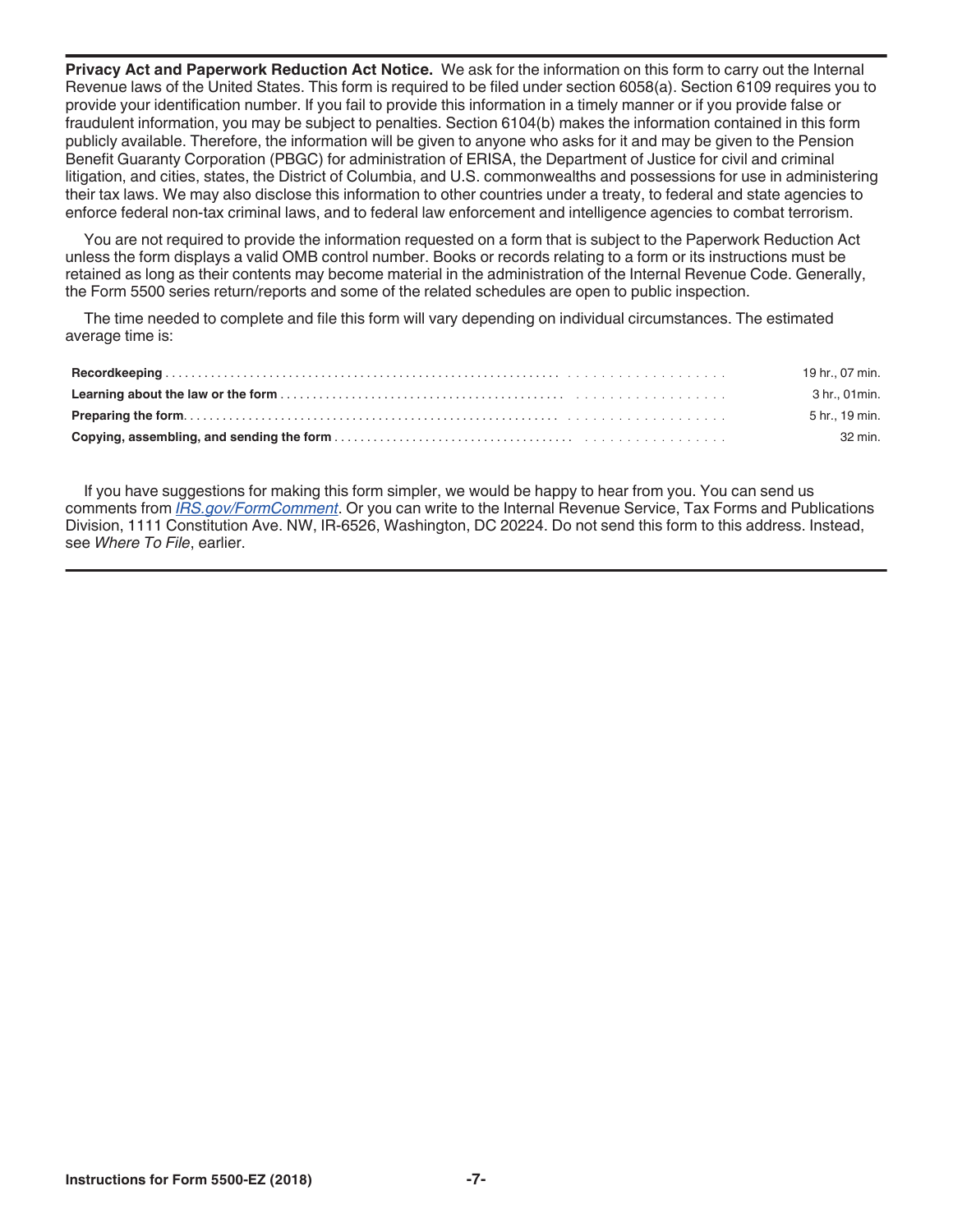**Privacy Act and Paperwork Reduction Act Notice.** We ask for the information on this form to carry out the Internal Revenue laws of the United States. This form is required to be filed under section 6058(a). Section 6109 requires you to provide your identification number. If you fail to provide this information in a timely manner or if you provide false or fraudulent information, you may be subject to penalties. Section 6104(b) makes the information contained in this form publicly available. Therefore, the information will be given to anyone who asks for it and may be given to the Pension Benefit Guaranty Corporation (PBGC) for administration of ERISA, the Department of Justice for civil and criminal litigation, and cities, states, the District of Columbia, and U.S. commonwealths and possessions for use in administering their tax laws. We may also disclose this information to other countries under a treaty, to federal and state agencies to enforce federal non-tax criminal laws, and to federal law enforcement and intelligence agencies to combat terrorism.

You are not required to provide the information requested on a form that is subject to the Paperwork Reduction Act unless the form displays a valid OMB control number. Books or records relating to a form or its instructions must be retained as long as their contents may become material in the administration of the Internal Revenue Code. Generally, the Form 5500 series return/reports and some of the related schedules are open to public inspection.

The time needed to complete and file this form will vary depending on individual circumstances. The estimated average time is:

| 19 hr., 07 min. |
|-----------------|
| 3 hr., 01 min.  |
| 5 hr., 19 min.  |
| 32 min.         |

If you have suggestions for making this form simpler, we would be happy to hear from you. You can send us comments from *[IRS.gov/FormComment](https://www.irs.gov/uac/comment-on-tax-forms-and-publications)*. Or you can write to the Internal Revenue Service, Tax Forms and Publications Division, 1111 Constitution Ave. NW, IR-6526, Washington, DC 20224. Do not send this form to this address. Instead, see *Where To File*, earlier.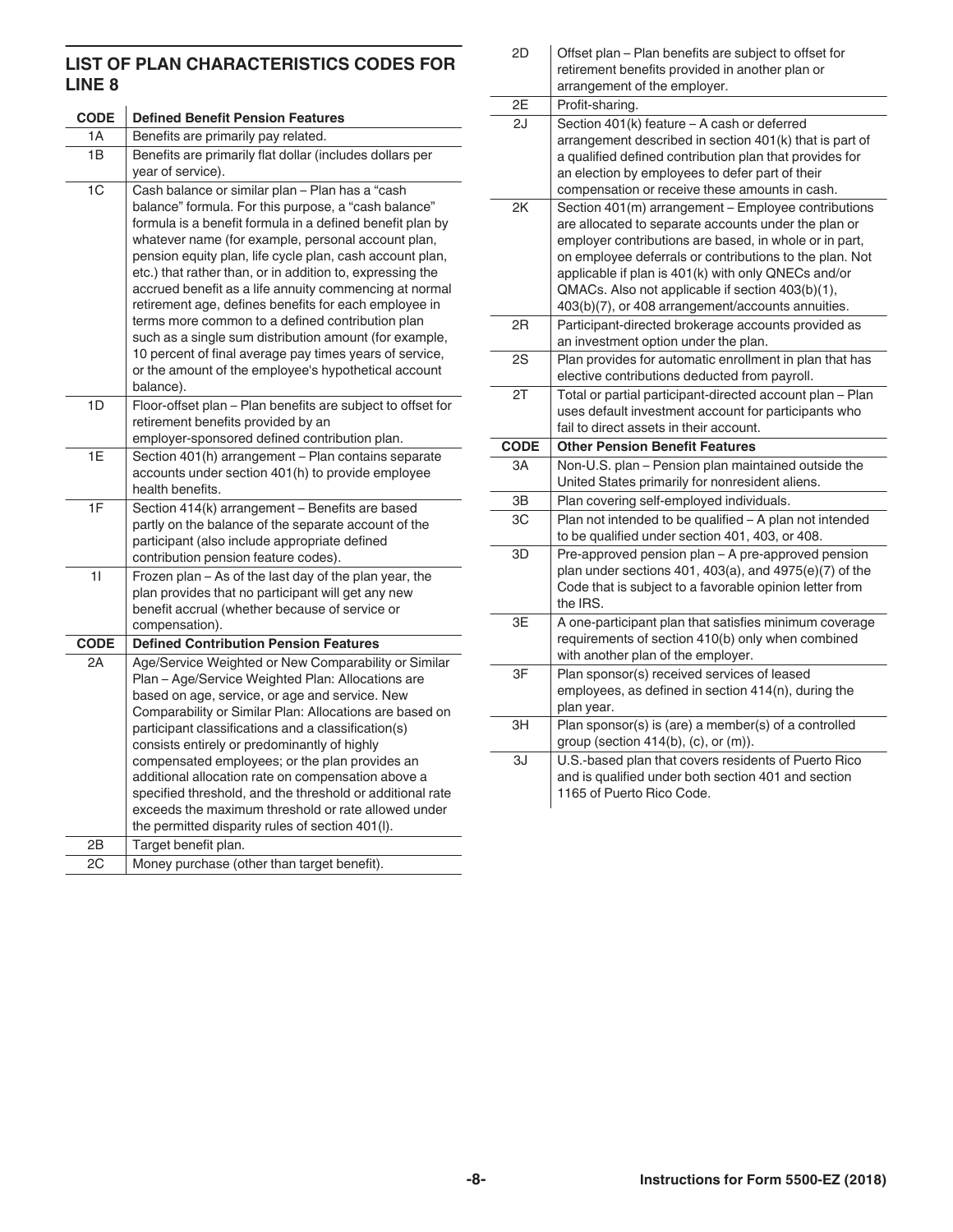#### **LIST OF PLAN CHARACTERISTICS CODES FOR LINE 8**

| <b>CODE</b>    | <b>Defined Benefit Pension Features</b>                                                                                                                                                                                                                                                                                                                                                                                                                                                                                                                                                                                                                                                                              |  |  |
|----------------|----------------------------------------------------------------------------------------------------------------------------------------------------------------------------------------------------------------------------------------------------------------------------------------------------------------------------------------------------------------------------------------------------------------------------------------------------------------------------------------------------------------------------------------------------------------------------------------------------------------------------------------------------------------------------------------------------------------------|--|--|
| 1A             | Benefits are primarily pay related.                                                                                                                                                                                                                                                                                                                                                                                                                                                                                                                                                                                                                                                                                  |  |  |
| 1B             | Benefits are primarily flat dollar (includes dollars per<br>year of service).                                                                                                                                                                                                                                                                                                                                                                                                                                                                                                                                                                                                                                        |  |  |
| 1 <sub>C</sub> | Cash balance or similar plan - Plan has a "cash<br>balance" formula. For this purpose, a "cash balance"<br>formula is a benefit formula in a defined benefit plan by<br>whatever name (for example, personal account plan,<br>pension equity plan, life cycle plan, cash account plan,<br>etc.) that rather than, or in addition to, expressing the<br>accrued benefit as a life annuity commencing at normal<br>retirement age, defines benefits for each employee in<br>terms more common to a defined contribution plan<br>such as a single sum distribution amount (for example,<br>10 percent of final average pay times years of service,<br>or the amount of the employee's hypothetical account<br>balance). |  |  |
| 1D             | Floor-offset plan - Plan benefits are subject to offset for<br>retirement benefits provided by an<br>employer-sponsored defined contribution plan.                                                                                                                                                                                                                                                                                                                                                                                                                                                                                                                                                                   |  |  |
| 1E             | Section 401(h) arrangement - Plan contains separate<br>accounts under section 401(h) to provide employee<br>health benefits.                                                                                                                                                                                                                                                                                                                                                                                                                                                                                                                                                                                         |  |  |
| 1F             | Section 414(k) arrangement - Benefits are based<br>partly on the balance of the separate account of the<br>participant (also include appropriate defined<br>contribution pension feature codes).                                                                                                                                                                                                                                                                                                                                                                                                                                                                                                                     |  |  |
| 11             | Frozen plan - As of the last day of the plan year, the<br>plan provides that no participant will get any new<br>benefit accrual (whether because of service or<br>compensation).                                                                                                                                                                                                                                                                                                                                                                                                                                                                                                                                     |  |  |
| <b>CODE</b>    | <b>Defined Contribution Pension Features</b>                                                                                                                                                                                                                                                                                                                                                                                                                                                                                                                                                                                                                                                                         |  |  |
| 2A             | Age/Service Weighted or New Comparability or Similar<br>Plan - Age/Service Weighted Plan: Allocations are<br>based on age, service, or age and service. New<br>Comparability or Similar Plan: Allocations are based on<br>participant classifications and a classification(s)<br>consists entirely or predominantly of highly<br>compensated employees; or the plan provides an<br>additional allocation rate on compensation above a<br>specified threshold, and the threshold or additional rate<br>exceeds the maximum threshold or rate allowed under<br>the permitted disparity rules of section 401(I).                                                                                                        |  |  |
| 2B             | Target benefit plan.                                                                                                                                                                                                                                                                                                                                                                                                                                                                                                                                                                                                                                                                                                 |  |  |
| 2C             | Money purchase (other than target benefit).                                                                                                                                                                                                                                                                                                                                                                                                                                                                                                                                                                                                                                                                          |  |  |

| 2D          | Offset plan - Plan benefits are subject to offset for<br>retirement benefits provided in another plan or<br>arrangement of the employer.                                                                                                                                                                                                                                                         |
|-------------|--------------------------------------------------------------------------------------------------------------------------------------------------------------------------------------------------------------------------------------------------------------------------------------------------------------------------------------------------------------------------------------------------|
| 2E          | Profit-sharing.                                                                                                                                                                                                                                                                                                                                                                                  |
| 2J          | Section 401(k) feature - A cash or deferred<br>arrangement described in section 401(k) that is part of<br>a qualified defined contribution plan that provides for<br>an election by employees to defer part of their<br>compensation or receive these amounts in cash.                                                                                                                           |
| 2K          | Section 401(m) arrangement - Employee contributions<br>are allocated to separate accounts under the plan or<br>employer contributions are based, in whole or in part,<br>on employee deferrals or contributions to the plan. Not<br>applicable if plan is 401(k) with only QNECs and/or<br>QMACs. Also not applicable if section 403(b)(1),<br>403(b)(7), or 408 arrangement/accounts annuities. |
| 2R          | Participant-directed brokerage accounts provided as<br>an investment option under the plan.                                                                                                                                                                                                                                                                                                      |
| 2S          | Plan provides for automatic enrollment in plan that has<br>elective contributions deducted from payroll.                                                                                                                                                                                                                                                                                         |
| 2T          | Total or partial participant-directed account plan - Plan<br>uses default investment account for participants who                                                                                                                                                                                                                                                                                |
|             | fail to direct assets in their account.                                                                                                                                                                                                                                                                                                                                                          |
| <b>CODE</b> | <b>Other Pension Benefit Features</b>                                                                                                                                                                                                                                                                                                                                                            |
| 3A          | Non-U.S. plan - Pension plan maintained outside the<br>United States primarily for nonresident aliens.                                                                                                                                                                                                                                                                                           |
| ЗB          | Plan covering self-employed individuals.                                                                                                                                                                                                                                                                                                                                                         |
| 3C          | Plan not intended to be qualified - A plan not intended<br>to be qualified under section 401, 403, or 408.                                                                                                                                                                                                                                                                                       |
| 3D          | Pre-approved pension plan - A pre-approved pension<br>plan under sections 401, 403(a), and 4975(e)(7) of the<br>Code that is subject to a favorable opinion letter from<br>the IRS.                                                                                                                                                                                                              |
| 3E          | A one-participant plan that satisfies minimum coverage<br>requirements of section 410(b) only when combined<br>with another plan of the employer.                                                                                                                                                                                                                                                |
| 3F          | Plan sponsor(s) received services of leased<br>employees, as defined in section 414(n), during the<br>plan year.                                                                                                                                                                                                                                                                                 |
| 3H          | Plan sponsor(s) is (are) a member(s) of a controlled<br>group (section 414(b), (c), or (m)).<br>U.S.-based plan that covers residents of Puerto Rico                                                                                                                                                                                                                                             |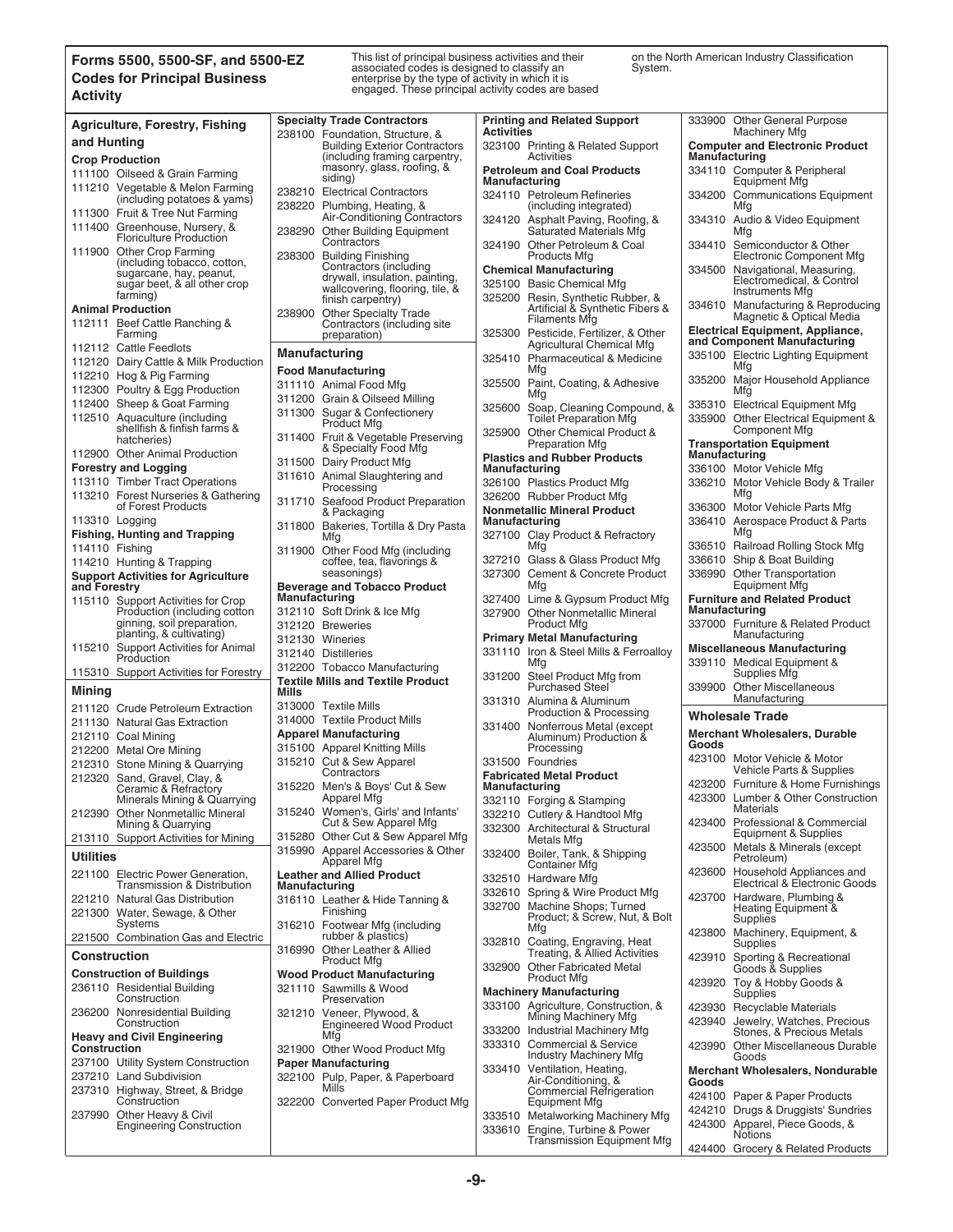#### **Forms 5500, 5500-SF, and 5500-EZ Codes for Principal Business Activity**

This list of principal business activities and their associated codes is designed to classify an enterprise by the type of activity in which it is engaged. These principal activity codes are based on the North American Industry Classification System.

424400 Grocery & Related Products

| <b>www.</b>                                                     |                                                                         |                                                                    |                                                                        |
|-----------------------------------------------------------------|-------------------------------------------------------------------------|--------------------------------------------------------------------|------------------------------------------------------------------------|
| <b>Agriculture, Forestry, Fishing</b>                           | <b>Specialty Trade Contractors</b>                                      | <b>Printing and Related Support</b><br><b>Activities</b>           | 333900 Other General Purpose<br>Machinery Mfg                          |
| and Hunting                                                     | 238100 Foundation, Structure, &<br><b>Building Exterior Contractors</b> | 323100 Printing & Related Support                                  | <b>Computer and Electronic Product</b>                                 |
| <b>Crop Production</b>                                          | (including framing carpentry,                                           | Activities                                                         | Manufacturing                                                          |
|                                                                 | masonry, glass, roofing, &                                              | <b>Petroleum and Coal Products</b>                                 | 334110 Computer & Peripheral                                           |
| 111100 Oilseed & Grain Farming                                  | siding)                                                                 | <b>Manufacturing</b>                                               | Equipment Mfg                                                          |
| 111210 Vegetable & Melon Farming<br>(including potatoes & yams) | 238210 Electrical Contractors<br>238220 Plumbing, Heating, &            | 324110 Petroleum Refineries<br>(including integrated)              | 334200 Communications Equipment<br>Mfg                                 |
| 111300 Fruit & Tree Nut Farming                                 | Air-Conditioning Contractors                                            | 324120 Asphalt Paving, Roofing, &                                  |                                                                        |
| 111400 Greenhouse, Nursery, &<br><b>Floriculture Production</b> | 238290 Other Building Equipment                                         | <b>Saturated Materials Mfg</b>                                     | 334310 Audio & Video Equipment<br>Mfa                                  |
| 111900 Other Crop Farming                                       | Contractors<br>238300 Building Finishing                                | 324190 Other Petroleum & Coal<br>Products Mfg                      | 334410 Semiconductor & Other<br>Electronic Component Mfg               |
| (including tobacco, cotton,<br>sugarcane, hay, peanut,          | Contractors (including                                                  | <b>Chemical Manufacturing</b>                                      | 334500 Navigational, Measuring,                                        |
| sugar beet, & all other crop                                    | drywall, insulation, painting,<br>wallcovering, flooring, tile, &       | 325100 Basic Chemical Mfg                                          | Electromedical, & Control                                              |
| farming)                                                        | finish carpentry)                                                       | 325200 Resin, Synthetic Rubber, &                                  | Instruments Mfg                                                        |
| <b>Animal Production</b>                                        | 238900 Other Specialty Trade                                            | Artificial & Synthetic Fibers &                                    | 334610 Manufacturing & Reproducing<br>Magnetic & Optical Media         |
| 112111 Beef Cattle Ranching &<br>Farming                        | Contractors (including site<br>preparation)                             | <b>Filaments Mfg</b><br>325300 Pesticide, Fertilizer, & Other      | Electrical Equipment, Appliance,                                       |
| 112112 Cattle Feedlots                                          |                                                                         | <b>Agricultural Chemical Mfg</b>                                   | and Component Manufacturing                                            |
| 112120 Dairy Cattle & Milk Production                           | <b>Manufacturing</b>                                                    | 325410<br><b>Pharmaceutical &amp; Medicine</b>                     | 335100 Electric Lighting Equipment                                     |
| 112210 Hog & Pig Farming                                        | <b>Food Manufacturing</b>                                               | Mfg                                                                | Mfg                                                                    |
| 112300 Poultry & Egg Production                                 | 311110 Animal Food Mfg                                                  | 325500 Paint, Coating, & Adhesive                                  | 335200 Major Household Appliance<br>Mfg                                |
| 112400 Sheep & Goat Farming                                     | 311200 Grain & Oilseed Milling                                          | Mfg                                                                |                                                                        |
| 112510 Aquaculture (including                                   | 311300 Sugar & Confectionery                                            | 325600 Soap, Cleaning Compound, &<br><b>Toilet Preparation Mfg</b> | 335310 Electrical Equipment Mfg<br>335900 Other Electrical Equipment & |
| shellfish & finfish farms &<br>hatcheries)                      | <b>Product Mfg</b><br>311400 Fruit & Vegetable Preserving               | 325900 Other Chemical Product &                                    | Component Mfg                                                          |
| 112900 Other Animal Production                                  | & Specialty Food Mfg                                                    | <b>Preparation Mfg</b>                                             | <b>Transportation Equipment</b><br>Manufacturing                       |
| <b>Forestry and Logging</b>                                     | 311500 Dairy Product Mfg                                                | <b>Plastics and Rubber Products</b><br>Manufacturing               | 336100 Motor Vehicle Mfg                                               |
| 113110 Timber Tract Operations                                  | 311610 Animal Slaughtering and                                          | 326100 Plastics Product Mfg                                        | 336210 Motor Vehicle Body & Trailer                                    |
| 113210 Forest Nurseries & Gathering                             | Processing                                                              | 326200 Rubber Product Mfg                                          | Mfg                                                                    |
| of Forest Products                                              | 311710 Seafood Product Preparation                                      | <b>Nonmetallic Mineral Product</b>                                 | 336300 Motor Vehicle Parts Mfg                                         |
| 113310 Logging                                                  | & Packaging                                                             | Manufacturing                                                      | 336410 Aerospace Product & Parts                                       |
| <b>Fishing, Hunting and Trapping</b>                            | 311800 Bakeries, Tortilla & Dry Pasta<br>Mfg                            | 327100 Clay Product & Refractory                                   | Mfg                                                                    |
| 114110 Fishing                                                  | 311900 Other Food Mfg (including                                        | Mfg                                                                | 336510 Railroad Rolling Stock Mfg                                      |
| 114210 Hunting & Trapping                                       | coffee, tea, flavorings &                                               | 327210 Glass & Glass Product Mfg                                   | 336610 Ship & Boat Building                                            |
| <b>Support Activities for Agriculture</b>                       | seasonings)                                                             | 327300 Cement & Concrete Product                                   | 336990 Other Transportation                                            |
| and Forestry                                                    | <b>Beverage and Tobacco Product</b>                                     | Mfg                                                                | <b>Equipment Mfg</b>                                                   |
| 115110 Support Activities for Crop                              | <b>Manufacturing</b>                                                    | 327400 Lime & Gypsum Product Mfg                                   | <b>Furniture and Related Product</b>                                   |
| Production (including cotton                                    | 312110 Soft Drink & Ice Mfg                                             | 327900 Other Nonmetallic Mineral                                   | Manufacturing                                                          |
| ginning, soil preparation,<br>planting, & cultivating)          | 312120 Breweries                                                        | <b>Product Mfg</b>                                                 | 337000 Furniture & Related Product<br>Manufacturing                    |
| 115210 Support Activities for Animal                            | 312130 Wineries                                                         | <b>Primary Metal Manufacturing</b>                                 | <b>Miscellaneous Manufacturing</b>                                     |
| Production                                                      | 312140 Distilleries                                                     | 331110 Iron & Steel Mills & Ferroalloy<br>Mfg                      | 339110 Medical Equipment &                                             |
| 115310 Support Activities for Forestry                          | 312200 Tobacco Manufacturing                                            | Steel Product Mfg from<br>331200                                   | Supplies Mfg                                                           |
| Mining                                                          | <b>Textile Mills and Textile Product</b><br>Mills                       | <b>Purchased Steel</b>                                             | 339900 Other Miscellaneous                                             |
|                                                                 | 313000 Textile Mills                                                    | 331310 Alumina & Aluminum                                          | Manufacturing                                                          |
| 211120 Crude Petroleum Extraction                               | 314000 Textile Product Mills                                            | Production & Processing                                            | <b>Wholesale Trade</b>                                                 |
| 211130 Natural Gas Extraction                                   | <b>Apparel Manufacturing</b>                                            | 331400 Nonferrous Metal (except                                    | <b>Merchant Wholesalers, Durable</b>                                   |
| 212110 Coal Mining<br>212200 Metal Ore Mining                   | 315100 Apparel Knitting Mills                                           | Aluminum) Production &<br>Processing                               | Goods                                                                  |
|                                                                 | 315210 Cut & Sew Apparel                                                | 331500 Foundries                                                   | 423100 Motor Vehicle & Motor                                           |
| 212310 Stone Mining & Quarrying<br>212320 Sand, Gravel, Clay, & | Contractors                                                             | <b>Fabricated Metal Product</b>                                    | Vehicle Parts & Supplies                                               |
| Ceramic & Refractory                                            | 315220 Men's & Boys' Cut & Sew                                          | Manufacturing                                                      | 423200 Furniture & Home Furnishings                                    |
| Minerals Mining & Quarrying                                     | Apparel Mtg                                                             | 332110 Forging & Stamping                                          | 423300 Lumber & Other Construction                                     |
| 212390 Other Nonmetallic Mineral                                | 315240 Women's, Girls' and Infants'                                     | 332210 Cutlery & Handtool Mfg                                      | Materials                                                              |
| Mining & Quarrying                                              | Cut & Sew Apparel Mfg<br>315280 Other Cut & Sew Apparel Mfg             | 332300 Architectural & Structural                                  | 423400 Professional & Commercial<br>Equipment & Supplies               |
| 213110 Support Activities for Mining                            | 315990 Apparel Accessories & Other                                      | Metals Mfg<br>332400 Boiler, Tank, & Shipping                      | 423500 Metals & Minerals (except                                       |
| <b>Utilities</b>                                                | Apparel Mfg                                                             | <b>Container Mfg</b>                                               | Petroleum)                                                             |
| 221100 Electric Power Generation,                               | <b>Leather and Allied Product</b>                                       | 332510 Hardware Mfg                                                | 423600 Household Appliances and<br>Electrical & Electronic Goods       |
| Transmission & Distribution<br>221210 Natural Gas Distribution  | Manufacturing                                                           | 332610 Spring & Wire Product Mfg                                   |                                                                        |
| 221300 Water, Sewage, & Other                                   | 316110 Leather & Hide Tanning &<br>Finishing                            | 332700 Machine Shops; Turned                                       | 423700 Hardware, Plumbing &<br>Heating Equipment &                     |
| Systems                                                         | 316210 Footwear Mfg (including                                          | Product; & Screw, Nut, & Bolt                                      | Supplies                                                               |
| 221500 Combination Gas and Electric                             | rubber & plastics)                                                      | Mfg<br>332810 Coating, Engraving, Heat                             | 423800 Machinery, Equipment, &<br>Supplies                             |
| <b>Construction</b>                                             | 316990 Other Leather & Allied<br><b>Product Mfg</b>                     | Treating, & Allied Activities                                      |                                                                        |
| <b>Construction of Buildings</b>                                |                                                                         | 332900 Other Fabricated Metal                                      | 423910 Sporting & Recreational<br>Goods & Supplies                     |
| 236110 Residential Building                                     | <b>Wood Product Manufacturing</b><br>321110 Sawmills & Wood             | <b>Product Mfg</b>                                                 | 423920 Toy & Hobby Goods &                                             |
| Construction                                                    | Preservation                                                            | <b>Machinery Manufacturing</b>                                     | <b>Supplies</b>                                                        |
| 236200 Nonresidential Building                                  | 321210 Veneer, Plywood, &                                               | 333100 Agriculture, Construction, &<br>Mining Machinery Mfg        | 423930 Recyclable Materials                                            |
| Construction                                                    | <b>Engineered Wood Product</b>                                          | 333200 Industrial Machinery Mfg                                    | 423940 Jewelry, Watches, Precious<br>Stones, & Precious Metals         |
| <b>Heavy and Civil Engineering</b>                              | Mfg                                                                     | 333310 Commercial & Service                                        | 423990 Other Miscellaneous Durable                                     |
| Construction                                                    | 321900 Other Wood Product Mfg                                           | <b>Industry Machinery Mfg</b>                                      | Goods                                                                  |
| 237100 Utility System Construction                              | <b>Paper Manufacturing</b>                                              | 333410 Ventilation, Heating,                                       | <b>Merchant Wholesalers, Nondurable</b>                                |
| 237210 Land Subdivision                                         | 322100 Pulp, Paper, & Paperboard<br>Mills                               | Air-Conditioning, &                                                | Goods                                                                  |
| 237310 Highway, Street, & Bridge<br>Construction                | 322200 Converted Paper Product Mfg                                      | <b>Commercial Refrigeration</b><br><b>Equipment Mfg</b>            | 424100 Paper & Paper Products                                          |
| 237990 Other Heavy & Civil                                      |                                                                         | 333510 Metalworking Machinery Mfg                                  | 424210 Drugs & Druggists' Sundries                                     |
| <b>Engineering Construction</b>                                 |                                                                         | 333610 Engine, Turbine & Power                                     | 424300 Apparel, Piece Goods, &                                         |
|                                                                 |                                                                         | <b>Transmission Equipment Mfg</b>                                  | <b>Notions</b>                                                         |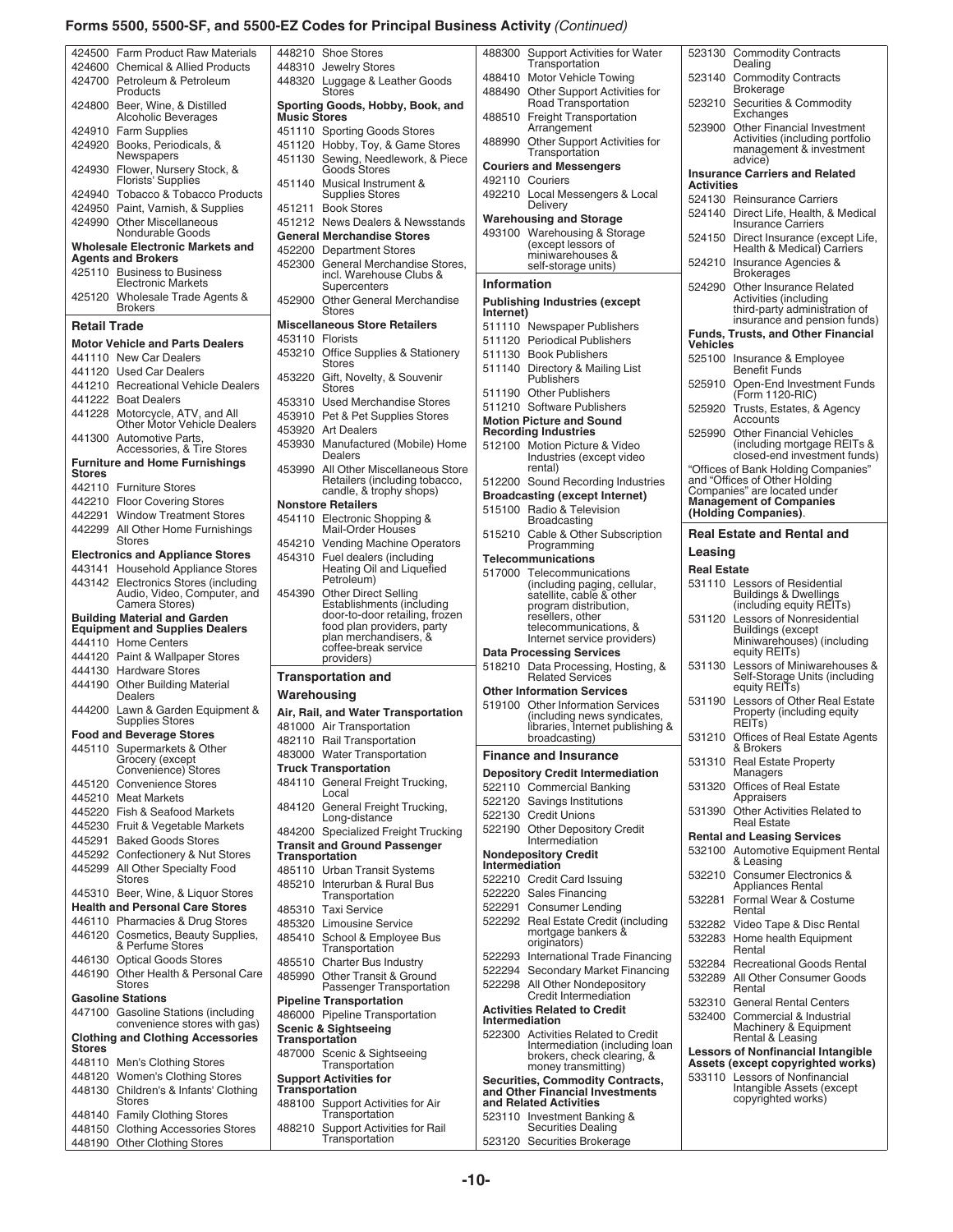#### **Forms 5500, 5500-SF, and 5500-EZ Codes for Principal Business Activity** *(Continued)*

| 424500              | <b>Farm Product Raw Materials</b>                       | 4482                 |
|---------------------|---------------------------------------------------------|----------------------|
| 424600              | <b>Chemical &amp; Allied Products</b>                   | 4483                 |
| 424700              | Petroleum & Petroleum                                   | 44832                |
|                     | Products                                                |                      |
|                     |                                                         |                      |
| 424800              | Beer, Wine, & Distilled<br><b>Alcoholic Beverages</b>   | Sport<br><b>Musi</b> |
|                     |                                                         |                      |
| 424910              | <b>Farm Supplies</b>                                    | 4511                 |
| 424920              | Books, Periodicals, &                                   | 45112                |
|                     | Newspapers                                              | 4511:                |
| 424930              | Flower, Nursery Stock, &<br>Florists' Supplies          |                      |
|                     |                                                         | 45114                |
| 424940              | <b>Tobacco &amp; Tobacco Products</b>                   |                      |
| 424950              | Paint, Varnish, & Supplies                              | 4512                 |
| 424990              | <b>Other Miscellaneous</b>                              | 4512                 |
|                     | Nondurable Goods                                        | Gene                 |
|                     | <b>Wholesale Electronic Markets and</b>                 | 45220                |
|                     | <b>Agents and Brokers</b>                               | 4523                 |
| 425110              | <b>Business to Business</b>                             |                      |
|                     | <b>Electronic Markets</b>                               |                      |
| 425120              | Wholesale Trade Agents &                                | 4529                 |
|                     | <b>Brokers</b>                                          |                      |
| <b>Retail Trade</b> |                                                         | <b>Misco</b>         |
|                     |                                                         |                      |
|                     | <b>Motor Vehicle and Parts Dealers</b>                  | 4531                 |
| 441110              | <b>New Car Dealers</b>                                  | 4532                 |
| 441120              | <b>Used Car Dealers</b>                                 |                      |
| 441210              | <b>Recreational Vehicle Dealers</b>                     | 4532                 |
| 441222              |                                                         |                      |
|                     | <b>Boat Dealers</b>                                     | 4533                 |
| 441228              | Motorcycle, ATV, and All<br>Other Motor Vehicle Dealers | 4539                 |
|                     |                                                         | 45392                |
| 441300              | Automotive Parts,                                       | 4539                 |
|                     | Accessories, & Tire Stores                              |                      |
|                     | <b>Furniture and Home Furnishings</b>                   | 4539                 |
| Stores              |                                                         |                      |
| 442110              | <b>Furniture Stores</b>                                 |                      |
| 442210              | <b>Floor Covering Stores</b>                            | <b>Nons</b>          |
| 442291              | <b>Window Treatment Stores</b>                          | 4541                 |
| 442299              | All Other Home Furnishings                              |                      |
|                     | Stores                                                  | 4542                 |
|                     | <b>Electronics and Appliance Stores</b>                 | 4543                 |
| 443141              | <b>Household Appliance Stores</b>                       |                      |
| 443142              | <b>Electronics Stores (including</b>                    |                      |
|                     | Audio, Video, Computer, and                             | 4543                 |
|                     | Camera Stores)                                          |                      |
|                     | <b>Building Material and Garden</b>                     |                      |
|                     | <b>Equipment and Supplies Dealers</b>                   |                      |
|                     | 444110 Home Centers                                     |                      |
| 444120              | Paint & Wallpaper Stores                                |                      |
| 444130              | <b>Hardware Stores</b>                                  |                      |
| 444190              |                                                         | Tran                 |
|                     | <b>Other Building Material</b><br><b>Dealers</b>        | Ward                 |
|                     |                                                         |                      |
| 444200              | Lawn & Garden Equipment &                               | Air, F               |
|                     | Supplies Stores                                         | 4810                 |
|                     | <b>Food and Beverage Stores</b>                         | 48211                |
| 445110              | Supermarkets & Other                                    | 4830                 |
|                     | Grocery (except<br>Convenience) Stores                  | Trucl                |
|                     |                                                         | 4841                 |
| 445120              | <b>Convenience Stores</b>                               |                      |
| 445210              | <b>Meat Markets</b>                                     | 48412                |
| 445220              | Fish & Seafood Markets                                  |                      |
| 445230              | Fruit & Vegetable Markets                               | 4842                 |
| 445291              | <b>Baked Goods Stores</b>                               | Trans                |
| 445292              | Confectionery & Nut Stores                              | Trans                |
| 445299              | All Other Specialty Food                                | 4851                 |
|                     | <b>Stores</b>                                           |                      |
| 445310              | Beer, Wine, & Liquor Stores                             | 4852                 |
|                     | <b>Health and Personal Care Stores</b>                  |                      |
|                     |                                                         | 4853                 |
| 446110              | Pharmacies & Drug Stores                                | 4853                 |
| 446120              | Cosmetics, Beauty Supplies,<br>& Perfume Stores         | 4854                 |
|                     |                                                         |                      |
| 446130              | <b>Optical Goods Stores</b>                             | 4855                 |
| 446190              | Other Health & Personal Care                            | 4859                 |
|                     | <b>Stores</b>                                           |                      |
|                     | <b>Gasoline Stations</b>                                | Pipel                |
| 447100              | <b>Gasoline Stations (including</b>                     | 4860                 |
|                     | convenience stores with gas)                            | Scen                 |
|                     | <b>Clothing and Clothing Accessories</b>                | Trans                |
| Stores              |                                                         | 4870                 |
| 448110              | Men's Clothing Stores                                   |                      |
|                     |                                                         |                      |
| 448120              | <b>Women's Clothing Stores</b>                          | Supp                 |
| 448130              | Children's & Infants' Clothing                          | Trans                |
|                     | Stores                                                  | 4881                 |
| 448140              | <b>Family Clothing Stores</b>                           |                      |

448190 Other Clothing Stores

| 448210                             | <b>Shoe Stores</b>                                                                        | 488300                     |
|------------------------------------|-------------------------------------------------------------------------------------------|----------------------------|
| 448310                             | <b>Jewelry Stores</b>                                                                     | 488410                     |
| 448320                             | Luggage & Leather Goods<br>Stores                                                         | 488490                     |
| <b>Music Stores</b>                | Sporting Goods, Hobby, Book, and                                                          | 488510                     |
| 451110<br>451120                   | <b>Sporting Goods Stores</b><br>Hobby, Toy, & Game Stores                                 | 488990                     |
| 451130                             | Sewing, Needlework, & Piece<br><b>Goods Stores</b>                                        | <b>Couriers</b>            |
| 451140                             | Musical Instrument &<br>Supplies Stores                                                   | 492110<br>492210           |
| 451211                             | <b>Book Stores</b>                                                                        | Warehou                    |
| 451212                             | <b>News Dealers &amp; Newsstands</b>                                                      | 493100                     |
| 452200                             | <b>General Merchandise Stores</b>                                                         |                            |
| 452300                             | <b>Department Stores</b><br>General Merchandise Stores,<br>incl. Warehouse Clubs &        |                            |
| 452900                             | Supercenters<br><b>Other General Merchandise</b>                                          | Informa<br><b>Publishi</b> |
|                                    | <b>Stores</b><br><b>Miscellaneous Store Retailers</b>                                     | Internet)<br>511110        |
| 453110                             | <b>Florists</b>                                                                           | 511120                     |
| 453210                             | Office Supplies & Stationery                                                              | 511130                     |
| 453220                             | Stores<br>Gift, Novelty, & Souvenir                                                       | 511140                     |
|                                    | Stores                                                                                    | 511190                     |
| 453310                             | <b>Used Merchandise Stores</b>                                                            | 511210                     |
| 453910                             | Pet & Pet Supplies Stores                                                                 | <b>Motion P</b>            |
| 453920<br>453930                   | <b>Art Dealers</b><br>Manufactured (Mobile) Home                                          | <b>Recordir</b>            |
|                                    | Dealers                                                                                   | 512100                     |
| 453990                             | All Other Miscellaneous Store                                                             | 512200                     |
|                                    | Retailers (including tobacco,<br>candle, & trophy shops)                                  | <b>Broadca</b>             |
|                                    | <b>Nonstore Retailers</b>                                                                 | 515100                     |
| 454110                             | Electronic Shopping &<br>Mail-Order Houses                                                | 515210                     |
| 454210                             | <b>Vending Machine Operators</b>                                                          |                            |
| 454310                             | Fuel dealers (including<br>Heating Oil and Liquefied<br>Petroleum)                        | <b>Telecom</b><br>517000   |
| 454390                             | <b>Other Direct Selling</b>                                                               |                            |
|                                    | Establishments (including<br>door-to-door retailing, frozen<br>food plan providers, party |                            |
|                                    | plan merchandisers, &<br>coffee-break service                                             | Data Pro                   |
|                                    | providers)                                                                                | 518210                     |
|                                    | <b>Transportation and</b>                                                                 | <b>Other Inf</b>           |
| Warehousing                        |                                                                                           | 519100                     |
|                                    | Air, Rail, and Water Transportation                                                       |                            |
|                                    | 481000 Air Transportation<br>482110 Rail Transportation                                   |                            |
|                                    | 483000 Water Transportation                                                               | <b>Finance</b>             |
|                                    | <b>Truck Transportation</b>                                                               |                            |
| 484110                             | General Freight Trucking,                                                                 | <b>Deposito</b><br>522110  |
|                                    | Local                                                                                     | 522120                     |
| 484120                             | General Freight Trucking,<br>Long-distance                                                | 522130                     |
| 484200                             | Specialized Freight Trucking                                                              | 522190                     |
| <b>Transportation</b>              | <b>Transit and Ground Passenger</b>                                                       | Nondepo                    |
| 485110                             | <b>Urban Transit Systems</b>                                                              | Intermed                   |
| 485210                             | Interurban & Rural Bus                                                                    | 522210                     |
|                                    | Transportation                                                                            | 522220                     |
| 485310                             | <b>Taxi Service</b>                                                                       | 522291                     |
| 485320                             | <b>Limousine Service</b>                                                                  | 522292                     |
| 485410                             | School & Employee Bus<br>Transportation                                                   |                            |
| 485510                             | <b>Charter Bus Industry</b>                                                               | 522293<br>522294           |
| 485990                             | Other Transit & Ground<br>Passenger Transportation                                        | 522298                     |
|                                    | <b>Pipeline Transportation</b>                                                            | <b>Activities</b>          |
|                                    |                                                                                           |                            |
|                                    | 486000 Pipeline Transportation                                                            | Intermec                   |
|                                    | <b>Scenic &amp; Sightseeing</b>                                                           | 522300                     |
| Transportation                     | 487000 Scenic & Sightseeing                                                               |                            |
|                                    | Transportation<br><b>Support Activities for</b>                                           | Securitie                  |
|                                    |                                                                                           | and Othe                   |
|                                    | Support Activities for Air<br>Transportation                                              | and Rela<br>523110         |
| Transportation<br>488100<br>488210 | <b>Support Activities for Rail</b><br>Transportation                                      | 523120                     |

|                    | 488300 Support Activities for Water<br>Transportation                                                |                    | 523130 Commodity Contracts<br>Dealing                                                          |
|--------------------|------------------------------------------------------------------------------------------------------|--------------------|------------------------------------------------------------------------------------------------|
|                    | 488410 Motor Vehicle Towing                                                                          | 523140             | <b>Commodity Contracts</b>                                                                     |
|                    | 488490 Other Support Activities for<br>Road Transportation                                           |                    | <b>Brokerage</b><br>523210 Securities & Commodity                                              |
|                    | 488510 Freight Transportation<br>Arrangement                                                         | 523900             | Exchanges<br>Other Financial Investment                                                        |
|                    | 488990 Other Support Activities for<br>Transportation                                                |                    | Activities (including portfolio<br>management & investment<br>advice)                          |
|                    | <b>Couriers and Messengers</b>                                                                       |                    | <b>Insurance Carriers and Related</b>                                                          |
|                    | 492110 Couriers<br>492210 Local Messengers & Local                                                   | Activities         |                                                                                                |
|                    | Delivery<br><b>Warehousing and Storage</b>                                                           |                    | 524130 Reinsurance Carriers<br>524140 Direct Life, Health, & Medical                           |
|                    | 493100 Warehousing & Storage<br>(except lessors of                                                   | 524150             | <b>Insurance Carriers</b><br>Direct Insurance (except Life,                                    |
|                    | miniwarehouses &<br>self-storage units)                                                              |                    | Health & Medical) Carriers<br>524210 Insurance Agencies &                                      |
| <b>Information</b> |                                                                                                      |                    | <b>Brokerages</b><br>524290 Other Insurance Related                                            |
| Internet)          | <b>Publishing Industries (except</b>                                                                 |                    | Activities (including<br>third-party administration of                                         |
|                    | 511110 Newspaper Publishers                                                                          |                    | insurance and pension funds)<br><b>Funds, Trusts, and Other Financial</b>                      |
|                    | 511120 Periodical Publishers                                                                         | <b>Vehicles</b>    |                                                                                                |
|                    | 511130 Book Publishers                                                                               |                    | 525100 Insurance & Employee                                                                    |
|                    | 511140 Directory & Mailing List<br>Publishers                                                        | 525910             | Benefit Funds<br>Open-End Investment Funds                                                     |
|                    | 511190 Other Publishers<br>511210 Software Publishers                                                |                    | (Form 1120-RIC)<br>525920 Trusts, Estates, & Agency                                            |
|                    | <b>Motion Picture and Sound</b>                                                                      |                    | Accounts                                                                                       |
|                    | <b>Recording Industries</b><br>512100 Motion Picture & Video<br>Industries (except video             | 525990             | <b>Other Financial Vehicles</b><br>(including mortgage REITs &<br>closed-end investment funds) |
|                    | rental)                                                                                              |                    | "Offices of Bank Holding Companies"                                                            |
|                    | 512200 Sound Recording Industries                                                                    |                    | and "Offices of Other Holding<br>Companies" are located under                                  |
|                    | <b>Broadcasting (except Internet)</b><br>515100 Radio & Television                                   |                    | <b>Management of Companies</b><br>(Holding Companies).                                         |
|                    | <b>Broadcasting</b><br>515210 Cable & Other Subscription                                             |                    | <b>Real Estate and Rental and</b>                                                              |
|                    | Programming<br>Telecommunications                                                                    | Leasing            |                                                                                                |
|                    | 517000 Telecommunications                                                                            | <b>Real Estate</b> |                                                                                                |
|                    | (including paging, cellular,                                                                         |                    | 531110 Lessors of Residential                                                                  |
|                    | satellite, cable & other                                                                             |                    | <b>Buildings &amp; Dwellings</b>                                                               |
|                    | program distribution,<br>resellers, other<br>telecommunications, &                                   |                    | (including equity REITs)<br>531120 Lessors of Nonresidential                                   |
|                    | Internet service providers)                                                                          |                    | Buildings (except<br>Miniwarehouses) (including                                                |
|                    | <b>Data Processing Services</b><br>518210 Data Processing, Hosting, &                                |                    | equity REITs)<br>531130 Lessors of Miniwarehouses &                                            |
|                    | <b>Related Services</b>                                                                              |                    | Self-Storage Units (including                                                                  |
|                    | <b>Other Information Services</b>                                                                    | 531190             | equity REITs)<br>Lessors of Other Real Estate                                                  |
|                    | 519100 Other Information Services<br>(including news syndicates,<br>libraries, Internet publishing & |                    | Property (including equity<br>REIT <sub>s</sub> )                                              |
|                    | broadcasting)                                                                                        |                    | 531210 Offices of Real Estate Agents<br>& Brokers                                              |
|                    | <b>Finance and Insurance</b>                                                                         |                    | 531310 Real Estate Property                                                                    |
|                    | <b>Depository Credit Intermediation</b>                                                              |                    | Managers                                                                                       |
|                    | 522110 Commercial Banking<br>522120 Savings Institutions                                             |                    | 531320 Offices of Real Estate<br>Appraisers                                                    |
|                    | 522130 Credit Unions                                                                                 |                    | 531390 Other Activities Related to<br><b>Real Estate</b>                                       |
|                    | 522190 Other Depository Credit                                                                       |                    | <b>Rental and Leasing Services</b>                                                             |
| Intermediation     | Intermediation<br><b>Nondepository Credit</b>                                                        |                    | 532100 Automotive Equipment Rental<br>& Leasing                                                |
|                    | 522210 Credit Card Issuing                                                                           |                    | 532210 Consumer Electronics &                                                                  |
|                    | 522220 Sales Financing                                                                               |                    | Appliances Rental                                                                              |
|                    | 522291 Consumer Lending                                                                              | 532281             | Formal Wear & Costume<br>Rental                                                                |
|                    | 522292 Real Estate Credit (including<br>mortgage bankers &<br>originators)                           |                    | 532282 Video Tape & Disc Rental<br>532283 Home health Equipment                                |
|                    | 522293 International Trade Financing                                                                 |                    | Rental                                                                                         |
|                    | 522294 Secondary Market Financing<br>522298 All Other Nondepository                                  |                    | 532284 Recreational Goods Rental<br>532289 All Other Consumer Goods                            |
|                    | Credit Intermediation                                                                                |                    | Rental<br>532310 General Rental Centers                                                        |
| Intermediation     | <b>Activities Related to Credit</b>                                                                  |                    | 532400 Commercial & Industrial                                                                 |
|                    | 522300 Activities Related to Credit                                                                  |                    | Machinery & Equipment<br>Rental & Leasing                                                      |
|                    | Intermediation (including loan<br>brokers, check clearing, &                                         |                    | <b>Lessors of Nonfinancial Intangible</b><br>Assets (except copyrighted works)                 |
|                    | money transmitting)<br><b>Securities, Commodity Contracts,</b>                                       |                    | 533110 Lessors of Nonfinancial                                                                 |
|                    | and Other Financial Investments<br>and Related Activities                                            |                    | Intangible Assets (except<br>copyrighted works)                                                |
|                    | 523110 Investment Banking &<br><b>Securities Dealing</b>                                             |                    |                                                                                                |